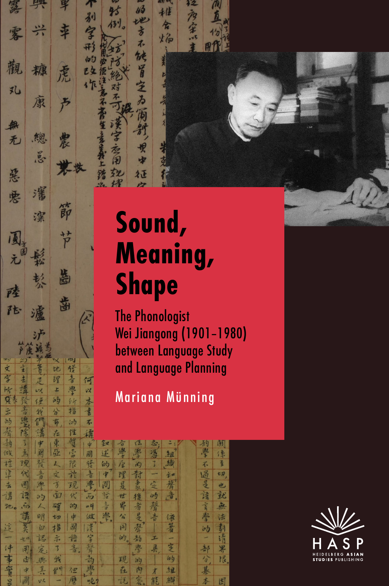## Sound, Meaning, Shape

的地方不能冒空

 $\overline{\lambda}$ 

征

V

烈

已夕 作

幸

虎

 $\frac{1}{2}$ 

農

節

节

齒

歯

一位言

指

何以

本

書

不

tł

理

Ł 學

的  $64$ 

茆 汐

觀

孔

無

无

惡

唐

国元

附

陆

文字

计复

宗的

去津

六

糠

康

總

 $\tilde{\mathcal{E}}$ 

瀋

渫

校公

瀘

定

vz

使

我 分

們

封

全

省

The Phonologist Wei Jiangong (1901–1980) between Language Study and Language Planning

## Mariana Münning

| r 1 | <u> 17</u>              | $-17$        | $\sim$        |    | <u> 14</u>                |                |                         |                |                |    |               |    |
|-----|-------------------------|--------------|---------------|----|---------------------------|----------------|-------------------------|----------------|----------------|----|---------------|----|
| 高   | $\overline{\mathsf{S}}$ | 中            | 束             | 質  | *                         | 钗              | $\overline{\mathbf{c}}$ | rz,            | $z_{\cdot}$    |    | 有             | 瞭  |
| 伐   | 当                       | 國            | 巫             | 帚  | 國                         | 述              | 傳                       | 漫              | 漫              | 鱼  | 學             | 保  |
| 樟   | 汊                       | 零            | $\frac{1}{2}$ | 限  | 發                         | 的              | 库                       | 內              | 3              | 劫  | 不             | 至  |
| 淖   | 代                       | 立田           | 文             | 汁  | 喜                         | 中              | 理                       | 對              |                | 卡口 | 园             | tA |
| 去   | 團                       | 學            | $\mathcal{L}$ | 现  | 潭                         | 図              | 是                       | 争见             | 空              | 聲  | 是             | 也  |
| 溝   | 諄                       | 55           | 面             | 代  | $\overline{\mathfrak{b}}$ | 学              | 世                       | 後              | 印              | 音  | 豫             | 就  |
| 地。  | 而                       |              | 確             | 的  | 104                       | $\frac{3}{12}$ | 界                       | 希              | 聲              |    | 言             | 無  |
|     | 講                       | 呵            | セカ            | 中  | 做                         | 海子。            | $\frac{1}{4}$           | 見              | 高              | 依  | 學             | 法  |
| 這   | 艺头                      | 臼            | 指             | 國  | 漢                         |                | $\overline{5}$          | 養              |                | 著  | 63            | 劃  |
|     | 七に                      | 認            | 未             | 設  | 宁                         |                | 的。                      | 劼              | I              |    |               | 請  |
| 件   | 用                       | 定。           | 3             | 音。 | 藝                         |                |                         | 學              | 具              | 芝  | 喜             | 界  |
| 事   | 由                       | $150 -$      | 纸             |    | 高                         |                | 现                       | 5 <sup>1</sup> |                | 65 | $\frac{1}{2}$ | 限。 |
| 富田  | \$                      | 其            | 但             | 位  | 灣                         |                | 在                       | 内              | $\overline{X}$ | 立旦 | 基             |    |
|     | 团                       | $V^{\prime}$ |               | 歷  | $n\bar{p}$                |                | 钱                       | 空              | 作              | 紼  | 木             | 用  |

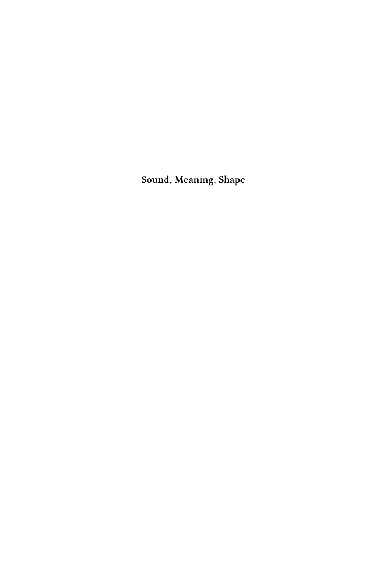**Sound, Meaning, Shape**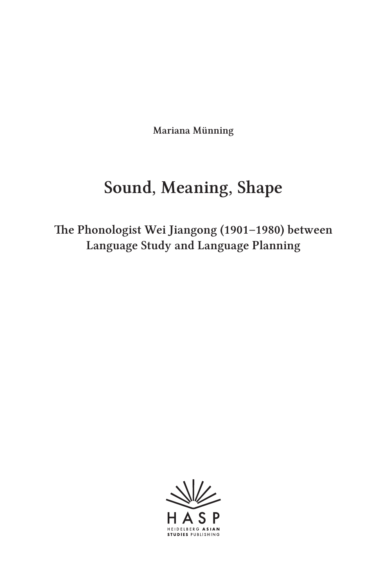Mariana Münning

## Sound, Meaning, Shape

The Phonologist Wei Jiangong (1901–1980) between Language Study and Language Planning